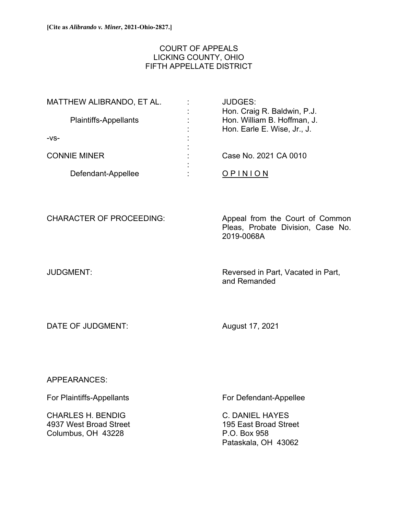# COURT OF APPEALS LICKING COUNTY, OHIO FIFTH APPELLATE DISTRICT

| MATTHEW ALIBRANDO, ET AL.    |   | <b>JUDGES:</b>              |
|------------------------------|---|-----------------------------|
|                              |   | Hon. Craig R. Baldwin, P.J. |
| <b>Plaintiffs-Appellants</b> |   | Hon. William B. Hoffman, J. |
|                              | ٠ | Hon. Earle E. Wise, Jr., J. |
| $-VS-$                       |   |                             |
|                              |   |                             |
| <b>CONNIE MINER</b>          |   | Case No. 2021 CA 0010       |
|                              |   |                             |
| Defendant-Appellee           |   |                             |
|                              |   |                             |

CHARACTER OF PROCEEDING: Appeal from the Court of Common Pleas, Probate Division, Case No. 2019-0068A

JUDGMENT: Reversed in Part, Vacated in Part, and Remanded

DATE OF JUDGMENT: August 17, 2021

APPEARANCES:

CHARLES H. BENDIG C. DANIEL HAYES 4937 West Broad Street 195 East Broad Street Columbus, OH 43228 P.O. Box 958

For Plaintiffs-Appellants For Defendant-Appellee

Pataskala, OH 43062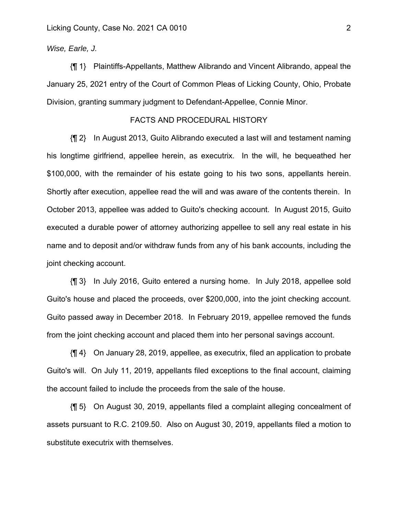### *Wise, Earle, J.*

{¶ 1} Plaintiffs-Appellants, Matthew Alibrando and Vincent Alibrando, appeal the January 25, 2021 entry of the Court of Common Pleas of Licking County, Ohio, Probate Division, granting summary judgment to Defendant-Appellee, Connie Minor.

### FACTS AND PROCEDURAL HISTORY

{¶ 2} In August 2013, Guito Alibrando executed a last will and testament naming his longtime girlfriend, appellee herein, as executrix. In the will, he bequeathed her \$100,000, with the remainder of his estate going to his two sons, appellants herein. Shortly after execution, appellee read the will and was aware of the contents therein. In October 2013, appellee was added to Guito's checking account. In August 2015, Guito executed a durable power of attorney authorizing appellee to sell any real estate in his name and to deposit and/or withdraw funds from any of his bank accounts, including the joint checking account.

{¶ 3} In July 2016, Guito entered a nursing home. In July 2018, appellee sold Guito's house and placed the proceeds, over \$200,000, into the joint checking account. Guito passed away in December 2018. In February 2019, appellee removed the funds from the joint checking account and placed them into her personal savings account.

{¶ 4} On January 28, 2019, appellee, as executrix, filed an application to probate Guito's will. On July 11, 2019, appellants filed exceptions to the final account, claiming the account failed to include the proceeds from the sale of the house.

{¶ 5} On August 30, 2019, appellants filed a complaint alleging concealment of assets pursuant to R.C. 2109.50. Also on August 30, 2019, appellants filed a motion to substitute executrix with themselves.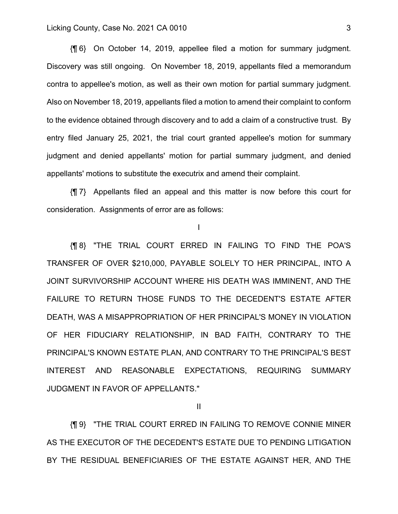## Licking County, Case No. 2021 CA 0010 3

{¶ 6} On October 14, 2019, appellee filed a motion for summary judgment. Discovery was still ongoing. On November 18, 2019, appellants filed a memorandum contra to appellee's motion, as well as their own motion for partial summary judgment. Also on November 18, 2019, appellants filed a motion to amend their complaint to conform to the evidence obtained through discovery and to add a claim of a constructive trust. By entry filed January 25, 2021, the trial court granted appellee's motion for summary judgment and denied appellants' motion for partial summary judgment, and denied appellants' motions to substitute the executrix and amend their complaint.

{¶ 7} Appellants filed an appeal and this matter is now before this court for consideration. Assignments of error are as follows:

## I

{¶ 8} "THE TRIAL COURT ERRED IN FAILING TO FIND THE POA'S TRANSFER OF OVER \$210,000, PAYABLE SOLELY TO HER PRINCIPAL, INTO A JOINT SURVIVORSHIP ACCOUNT WHERE HIS DEATH WAS IMMINENT, AND THE FAILURE TO RETURN THOSE FUNDS TO THE DECEDENT'S ESTATE AFTER DEATH, WAS A MISAPPROPRIATION OF HER PRINCIPAL'S MONEY IN VIOLATION OF HER FIDUCIARY RELATIONSHIP, IN BAD FAITH, CONTRARY TO THE PRINCIPAL'S KNOWN ESTATE PLAN, AND CONTRARY TO THE PRINCIPAL'S BEST INTEREST AND REASONABLE EXPECTATIONS, REQUIRING SUMMARY JUDGMENT IN FAVOR OF APPELLANTS."

II

{¶ 9} "THE TRIAL COURT ERRED IN FAILING TO REMOVE CONNIE MINER AS THE EXECUTOR OF THE DECEDENT'S ESTATE DUE TO PENDING LITIGATION BY THE RESIDUAL BENEFICIARIES OF THE ESTATE AGAINST HER, AND THE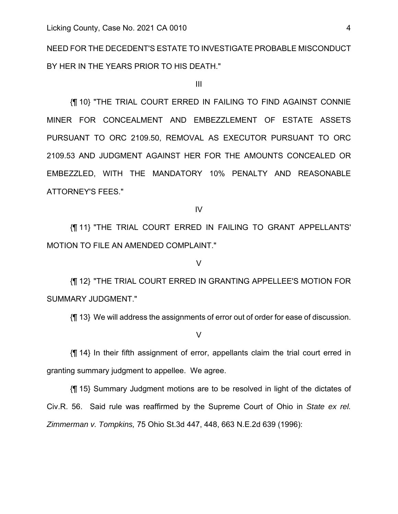NEED FOR THE DECEDENT'S ESTATE TO INVESTIGATE PROBABLE MISCONDUCT BY HER IN THE YEARS PRIOR TO HIS DEATH."

III

{¶ 10} "THE TRIAL COURT ERRED IN FAILING TO FIND AGAINST CONNIE MINER FOR CONCEALMENT AND EMBEZZLEMENT OF ESTATE ASSETS PURSUANT TO ORC 2109.50, REMOVAL AS EXECUTOR PURSUANT TO ORC 2109.53 AND JUDGMENT AGAINST HER FOR THE AMOUNTS CONCEALED OR EMBEZZLED, WITH THE MANDATORY 10% PENALTY AND REASONABLE ATTORNEY'S FEES."

IV

{¶ 11} "THE TRIAL COURT ERRED IN FAILING TO GRANT APPELLANTS' MOTION TO FILE AN AMENDED COMPLAINT."

### V

{¶ 12} "THE TRIAL COURT ERRED IN GRANTING APPELLEE'S MOTION FOR SUMMARY JUDGMENT."

{¶ 13} We will address the assignments of error out of order for ease of discussion.

#### V

{¶ 14} In their fifth assignment of error, appellants claim the trial court erred in granting summary judgment to appellee. We agree.

{¶ 15} Summary Judgment motions are to be resolved in light of the dictates of Civ.R. 56. Said rule was reaffirmed by the Supreme Court of Ohio in *State ex rel. Zimmerman v. Tompkins,* 75 Ohio St.3d 447, 448, 663 N.E.2d 639 (1996):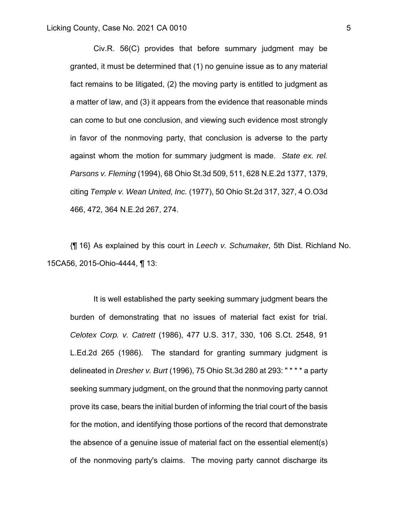Civ.R. 56(C) provides that before summary judgment may be granted, it must be determined that (1) no genuine issue as to any material fact remains to be litigated, (2) the moving party is entitled to judgment as a matter of law, and (3) it appears from the evidence that reasonable minds can come to but one conclusion, and viewing such evidence most strongly in favor of the nonmoving party, that conclusion is adverse to the party against whom the motion for summary judgment is made. *State ex. rel. Parsons v. Fleming* (1994), 68 Ohio St.3d 509, 511, 628 N.E.2d 1377, 1379, citing *Temple v. Wean United, Inc.* (1977), 50 Ohio St.2d 317, 327, 4 O.O3d 466, 472, 364 N.E.2d 267, 274.

{¶ 16} As explained by this court in *Leech v. Schumaker,* 5th Dist. Richland No. 15CA56, 2015-Ohio-4444, ¶ 13:

It is well established the party seeking summary judgment bears the burden of demonstrating that no issues of material fact exist for trial. *Celotex Corp. v. Catrett* (1986), 477 U.S. 317, 330, 106 S.Ct. 2548, 91 L.Ed.2d 265 (1986). The standard for granting summary judgment is delineated in *Dresher v. Burt* (1996), 75 Ohio St.3d 280 at 293: " \* \* \* a party seeking summary judgment, on the ground that the nonmoving party cannot prove its case, bears the initial burden of informing the trial court of the basis for the motion, and identifying those portions of the record that demonstrate the absence of a genuine issue of material fact on the essential element(s) of the nonmoving party's claims. The moving party cannot discharge its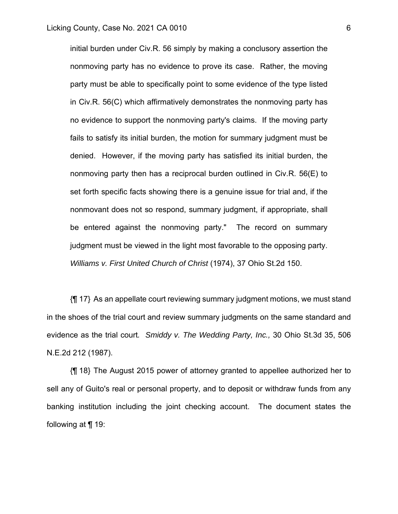initial burden under Civ.R. 56 simply by making a conclusory assertion the nonmoving party has no evidence to prove its case. Rather, the moving party must be able to specifically point to some evidence of the type listed in Civ.R. 56(C) which affirmatively demonstrates the nonmoving party has no evidence to support the nonmoving party's claims. If the moving party fails to satisfy its initial burden, the motion for summary judgment must be denied. However, if the moving party has satisfied its initial burden, the nonmoving party then has a reciprocal burden outlined in Civ.R. 56(E) to set forth specific facts showing there is a genuine issue for trial and, if the nonmovant does not so respond, summary judgment, if appropriate, shall be entered against the nonmoving party." The record on summary judgment must be viewed in the light most favorable to the opposing party. *Williams v. First United Church of Christ* (1974), 37 Ohio St.2d 150.

{¶ 17} As an appellate court reviewing summary judgment motions, we must stand in the shoes of the trial court and review summary judgments on the same standard and evidence as the trial court*. Smiddy v. The Wedding Party, Inc.,* 30 Ohio St.3d 35, 506 N.E.2d 212 (1987).

{¶ 18} The August 2015 power of attorney granted to appellee authorized her to sell any of Guito's real or personal property, and to deposit or withdraw funds from any banking institution including the joint checking account. The document states the following at ¶ 19: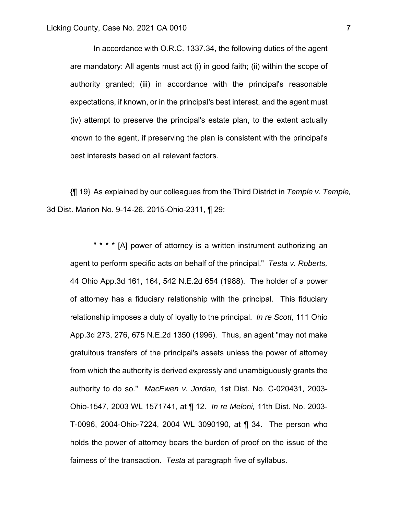In accordance with O.R.C. 1337.34, the following duties of the agent are mandatory: All agents must act (i) in good faith; (ii) within the scope of authority granted; (iii) in accordance with the principal's reasonable expectations, if known, or in the principal's best interest, and the agent must (iv) attempt to preserve the principal's estate plan, to the extent actually known to the agent, if preserving the plan is consistent with the principal's best interests based on all relevant factors.

{¶ 19} As explained by our colleagues from the Third District in *Temple v. Temple,*  3d Dist. Marion No. 9-14-26, 2015-Ohio-2311, ¶ 29:

" \* \* \* [A] power of attorney is a written instrument authorizing an agent to perform specific acts on behalf of the principal." *Testa v. Roberts,* 44 Ohio App.3d 161, 164, 542 N.E.2d 654 (1988). The holder of a power of attorney has a fiduciary relationship with the principal. This fiduciary relationship imposes a duty of loyalty to the principal. *In re Scott,* 111 Ohio App.3d 273, 276, 675 N.E.2d 1350 (1996). Thus, an agent "may not make gratuitous transfers of the principal's assets unless the power of attorney from which the authority is derived expressly and unambiguously grants the authority to do so." *MacEwen v. Jordan,* 1st Dist. No. C-020431, 2003- Ohio-1547, 2003 WL 1571741, at ¶ 12. *In re Meloni,* 11th Dist. No. 2003- T-0096, 2004-Ohio-7224, 2004 WL 3090190, at ¶ 34. The person who holds the power of attorney bears the burden of proof on the issue of the fairness of the transaction. *Testa* at paragraph five of syllabus.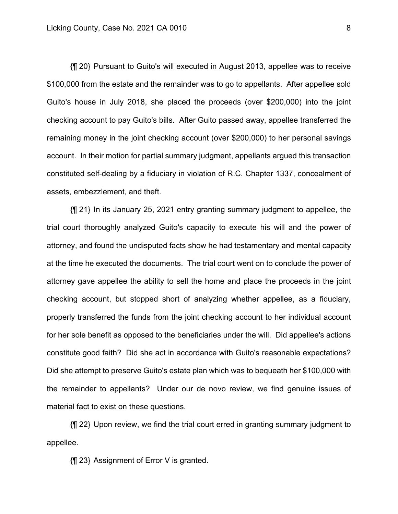{¶ 20} Pursuant to Guito's will executed in August 2013, appellee was to receive \$100,000 from the estate and the remainder was to go to appellants. After appellee sold Guito's house in July 2018, she placed the proceeds (over \$200,000) into the joint checking account to pay Guito's bills. After Guito passed away, appellee transferred the remaining money in the joint checking account (over \$200,000) to her personal savings account. In their motion for partial summary judgment, appellants argued this transaction constituted self-dealing by a fiduciary in violation of R.C. Chapter 1337, concealment of assets, embezzlement, and theft.

{¶ 21} In its January 25, 2021 entry granting summary judgment to appellee, the trial court thoroughly analyzed Guito's capacity to execute his will and the power of attorney, and found the undisputed facts show he had testamentary and mental capacity at the time he executed the documents. The trial court went on to conclude the power of attorney gave appellee the ability to sell the home and place the proceeds in the joint checking account, but stopped short of analyzing whether appellee, as a fiduciary, properly transferred the funds from the joint checking account to her individual account for her sole benefit as opposed to the beneficiaries under the will. Did appellee's actions constitute good faith? Did she act in accordance with Guito's reasonable expectations? Did she attempt to preserve Guito's estate plan which was to bequeath her \$100,000 with the remainder to appellants? Under our de novo review, we find genuine issues of material fact to exist on these questions.

{¶ 22} Upon review, we find the trial court erred in granting summary judgment to appellee.

{¶ 23} Assignment of Error V is granted.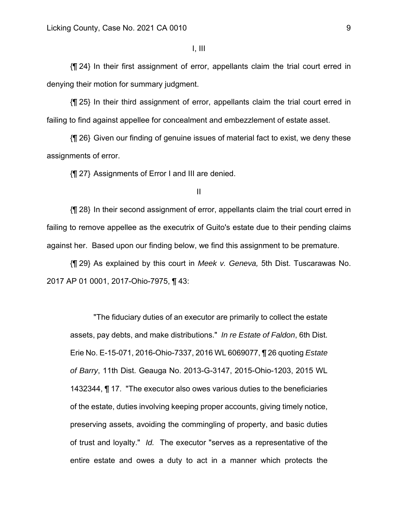{¶ 24} In their first assignment of error, appellants claim the trial court erred in denying their motion for summary judgment.

{¶ 25} In their third assignment of error, appellants claim the trial court erred in failing to find against appellee for concealment and embezzlement of estate asset.

{¶ 26} Given our finding of genuine issues of material fact to exist, we deny these assignments of error.

{¶ 27} Assignments of Error I and III are denied.

{¶ 28} In their second assignment of error, appellants claim the trial court erred in failing to remove appellee as the executrix of Guito's estate due to their pending claims against her. Based upon our finding below, we find this assignment to be premature.

{¶ 29} As explained by this court in *Meek v. Geneva,* 5th Dist. Tuscarawas No. 2017 AP 01 0001, 2017-Ohio-7975, ¶ 43:

"The fiduciary duties of an executor are primarily to collect the estate assets, pay debts, and make distributions." *In re Estate of Faldon*, 6th Dist. Erie No. E-15-071, 2016-Ohio-7337, 2016 WL 6069077, ¶ 26 quoting *Estate of Barry*, 11th Dist. Geauga No. 2013-G-3147, 2015-Ohio-1203, 2015 WL 1432344, ¶ 17. "The executor also owes various duties to the beneficiaries of the estate, duties involving keeping proper accounts, giving timely notice, preserving assets, avoiding the commingling of property, and basic duties of trust and loyalty." *Id.* The executor "serves as a representative of the entire estate and owes a duty to act in a manner which protects the

II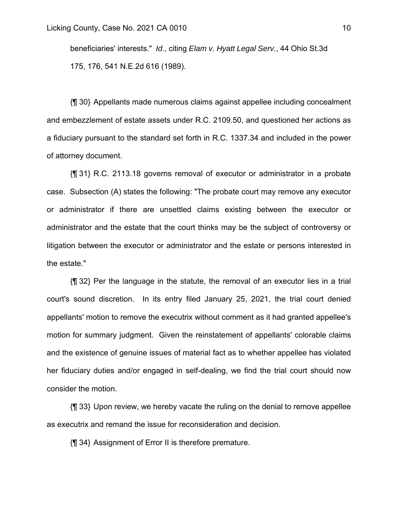beneficiaries' interests." *Id*., citing *Elam v. Hyatt Legal Serv.*, 44 Ohio St.3d 175, 176, 541 N.E.2d 616 (1989).

{¶ 30} Appellants made numerous claims against appellee including concealment and embezzlement of estate assets under R.C. 2109.50, and questioned her actions as a fiduciary pursuant to the standard set forth in R.C. 1337.34 and included in the power of attorney document.

{¶ 31} R.C. 2113.18 governs removal of executor or administrator in a probate case. Subsection (A) states the following: "The probate court may remove any executor or administrator if there are unsettled claims existing between the executor or administrator and the estate that the court thinks may be the subject of controversy or litigation between the executor or administrator and the estate or persons interested in the estate."

{¶ 32} Per the language in the statute, the removal of an executor lies in a trial court's sound discretion. In its entry filed January 25, 2021, the trial court denied appellants' motion to remove the executrix without comment as it had granted appellee's motion for summary judgment. Given the reinstatement of appellants' colorable claims and the existence of genuine issues of material fact as to whether appellee has violated her fiduciary duties and/or engaged in self-dealing, we find the trial court should now consider the motion.

{¶ 33} Upon review, we hereby vacate the ruling on the denial to remove appellee as executrix and remand the issue for reconsideration and decision.

{¶ 34} Assignment of Error II is therefore premature.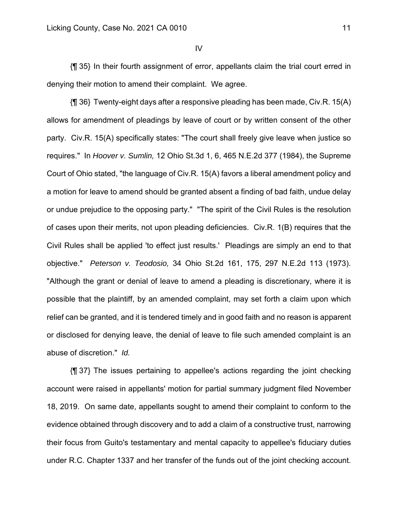{¶ 35} In their fourth assignment of error, appellants claim the trial court erred in denying their motion to amend their complaint. We agree.

{¶ 36} Twenty-eight days after a responsive pleading has been made, Civ.R. 15(A) allows for amendment of pleadings by leave of court or by written consent of the other party. Civ.R. 15(A) specifically states: "The court shall freely give leave when justice so requires." In *Hoover v. Sumlin,* 12 Ohio St.3d 1, 6, 465 N.E.2d 377 (1984), the Supreme Court of Ohio stated, "the language of Civ.R. 15(A) favors a liberal amendment policy and a motion for leave to amend should be granted absent a finding of bad faith, undue delay or undue prejudice to the opposing party." "The spirit of the Civil Rules is the resolution of cases upon their merits, not upon pleading deficiencies. Civ.R. 1(B) requires that the Civil Rules shall be applied 'to effect just results.' Pleadings are simply an end to that objective." *Peterson v. Teodosio,* 34 Ohio St.2d 161, 175, 297 N.E.2d 113 (1973). "Although the grant or denial of leave to amend a pleading is discretionary, where it is possible that the plaintiff, by an amended complaint, may set forth a claim upon which relief can be granted, and it is tendered timely and in good faith and no reason is apparent or disclosed for denying leave, the denial of leave to file such amended complaint is an abuse of discretion." *Id.*

{¶ 37} The issues pertaining to appellee's actions regarding the joint checking account were raised in appellants' motion for partial summary judgment filed November 18, 2019. On same date, appellants sought to amend their complaint to conform to the evidence obtained through discovery and to add a claim of a constructive trust, narrowing their focus from Guito's testamentary and mental capacity to appellee's fiduciary duties under R.C. Chapter 1337 and her transfer of the funds out of the joint checking account.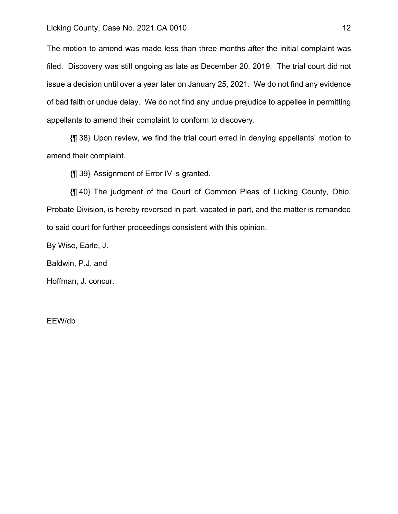### Licking County, Case No. 2021 CA 0010 12

The motion to amend was made less than three months after the initial complaint was filed. Discovery was still ongoing as late as December 20, 2019. The trial court did not issue a decision until over a year later on January 25, 2021. We do not find any evidence of bad faith or undue delay. We do not find any undue prejudice to appellee in permitting appellants to amend their complaint to conform to discovery.

{¶ 38} Upon review, we find the trial court erred in denying appellants' motion to amend their complaint.

{¶ 39} Assignment of Error IV is granted.

{¶ 40} The judgment of the Court of Common Pleas of Licking County, Ohio, Probate Division, is hereby reversed in part, vacated in part, and the matter is remanded to said court for further proceedings consistent with this opinion.

By Wise, Earle, J.

Baldwin, P.J. and

Hoffman, J. concur.

EEW/db